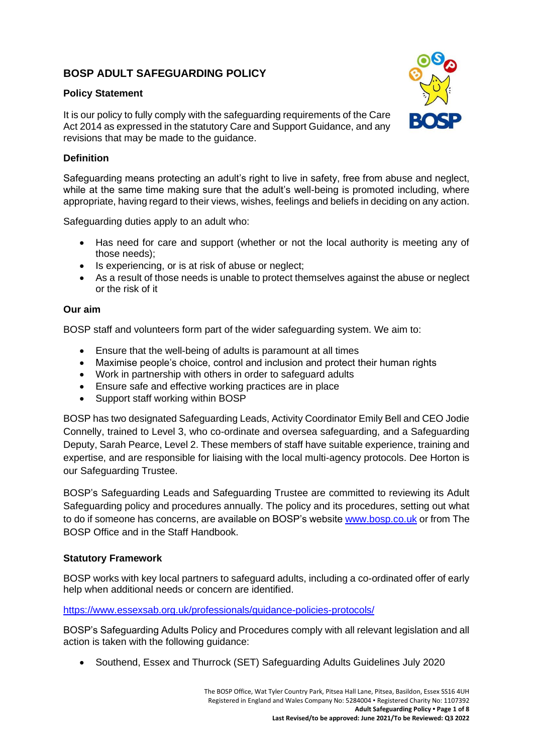# **BOSP ADULT SAFEGUARDING POLICY**

## **Policy Statement**

It is our policy to fully comply with the safeguarding requirements of the Care Act 2014 as expressed in the statutory Care and Support Guidance, and any revisions that may be made to the guidance.

## **Definition**

Safeguarding means protecting an adult's right to live in safety, free from abuse and neglect, while at the same time making sure that the adult's well-being is promoted including, where appropriate, having regard to their views, wishes, feelings and beliefs in deciding on any action.

Safeguarding duties apply to an adult who:

- Has need for care and support (whether or not the local authority is meeting any of those needs);
- Is experiencing, or is at risk of abuse or neglect;
- As a result of those needs is unable to protect themselves against the abuse or neglect or the risk of it

#### **Our aim**

BOSP staff and volunteers form part of the wider safeguarding system. We aim to:

- Ensure that the well-being of adults is paramount at all times
- Maximise people's choice, control and inclusion and protect their human rights
- Work in partnership with others in order to safeguard adults
- Ensure safe and effective working practices are in place
- Support staff working within BOSP

BOSP has two designated Safeguarding Leads, Activity Coordinator Emily Bell and CEO Jodie Connelly, trained to Level 3, who co-ordinate and oversea safeguarding, and a Safeguarding Deputy, Sarah Pearce, Level 2. These members of staff have suitable experience, training and expertise, and are responsible for liaising with the local multi-agency protocols. Dee Horton is our Safeguarding Trustee.

BOSP's Safeguarding Leads and Safeguarding Trustee are committed to reviewing its Adult Safeguarding policy and procedures annually. The policy and its procedures, setting out what to do if someone has concerns, are available on BOSP's website [www.bosp.co.uk](http://www.bosp.co.uk/) or from The BOSP Office and in the Staff Handbook.

## **Statutory Framework**

BOSP works with key local partners to safeguard adults, including a co-ordinated offer of early help when additional needs or concern are identified.

#### <https://www.essexsab.org.uk/professionals/guidance-policies-protocols/>

BOSP's Safeguarding Adults Policy and Procedures comply with all relevant legislation and all action is taken with the following guidance:

• Southend, Essex and Thurrock (SET) Safeguarding Adults Guidelines July 2020

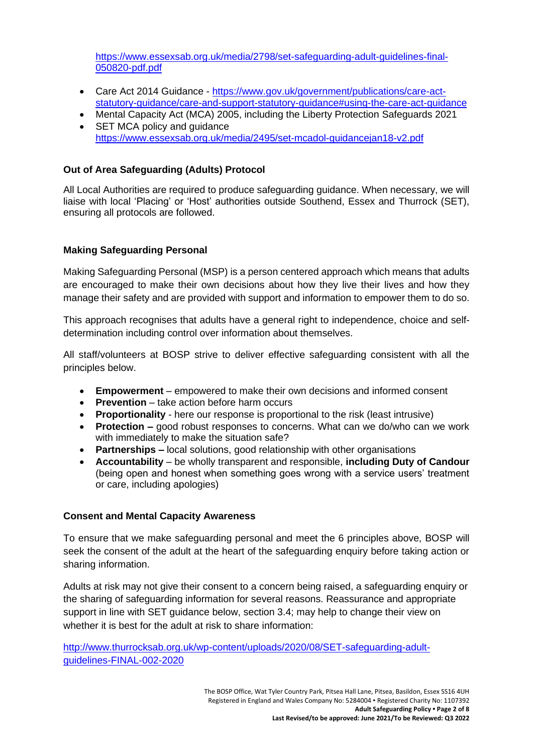[https://www.essexsab.org.uk/media/2798/set-safeguarding-adult-guidelines-final-](https://www.essexsab.org.uk/media/2798/set-safeguarding-adult-guidelines-final-050820-pdf.pdf)[050820-pdf.pdf](https://www.essexsab.org.uk/media/2798/set-safeguarding-adult-guidelines-final-050820-pdf.pdf)

- Care Act 2014 Guidance [https://www.gov.uk/government/publications/care-act](https://www.gov.uk/government/publications/care-act-statutory-guidance/care-and-support-statutory-guidance#using-the-care-act-guidance)[statutory-guidance/care-and-support-statutory-guidance#using-the-care-act-guidance](https://www.gov.uk/government/publications/care-act-statutory-guidance/care-and-support-statutory-guidance#using-the-care-act-guidance)
- Mental Capacity Act (MCA) 2005, including the Liberty Protection Safeguards 2021 • SET MCA policy and guidance <https://www.essexsab.org.uk/media/2495/set-mcadol-guidancejan18-v2.pdf>

## **Out of Area Safeguarding (Adults) Protocol**

All Local Authorities are required to produce safeguarding guidance. When necessary, we will liaise with local 'Placing' or 'Host' authorities outside Southend, Essex and Thurrock (SET), ensuring all protocols are followed.

## **Making Safeguarding Personal**

Making Safeguarding Personal (MSP) is a person centered approach which means that adults are encouraged to make their own decisions about how they live their lives and how they manage their safety and are provided with support and information to empower them to do so.

This approach recognises that adults have a general right to independence, choice and selfdetermination including control over information about themselves.

All staff/volunteers at BOSP strive to deliver effective safeguarding consistent with all the principles below.

- **Empowerment**  empowered to make their own decisions and informed consent
- **Prevention**  take action before harm occurs
- **Proportionality**  here our response is proportional to the risk (least intrusive)
- **Protection –** good robust responses to concerns. What can we do/who can we work with immediately to make the situation safe?
- **Partnerships –** local solutions, good relationship with other organisations
- **Accountability**  be wholly transparent and responsible, **including Duty of Candour** (being open and honest when something goes wrong with a service users' treatment or care, including apologies)

## **Consent and Mental Capacity Awareness**

To ensure that we make safeguarding personal and meet the 6 principles above, BOSP will seek the consent of the adult at the heart of the safeguarding enquiry before taking action or sharing information.

Adults at risk may not give their consent to a concern being raised, a safeguarding enquiry or the sharing of safeguarding information for several reasons. Reassurance and appropriate support in line with SET guidance below, section 3.4; may help to change their view on whether it is best for the adult at risk to share information:

[http://www.thurrocksab.org.uk/wp-content/uploads/2020/08/SET-safeguarding-adult](http://www.thurrocksab.org.uk/wp-content/uploads/2020/08/SET-safeguarding-adult-guidelines-FINAL-002-2020)[guidelines-FINAL-002-2020](http://www.thurrocksab.org.uk/wp-content/uploads/2020/08/SET-safeguarding-adult-guidelines-FINAL-002-2020)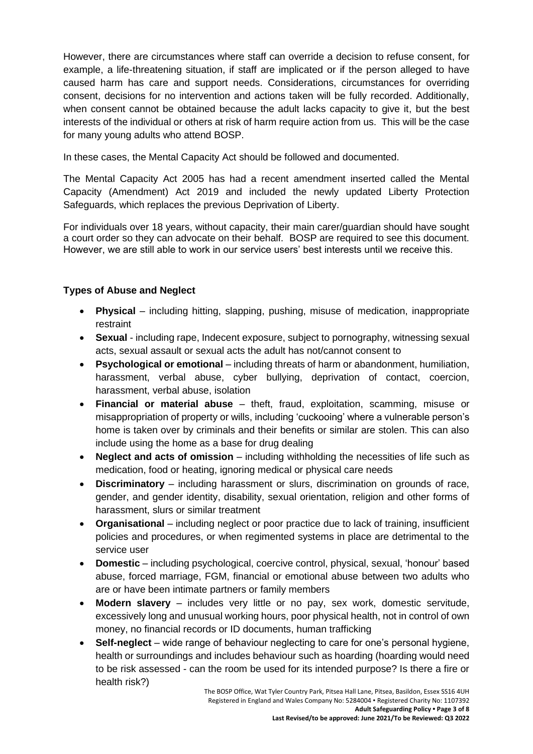However, there are circumstances where staff can override a decision to refuse consent, for example, a life-threatening situation, if staff are implicated or if the person alleged to have caused harm has care and support needs. Considerations, circumstances for overriding consent, decisions for no intervention and actions taken will be fully recorded. Additionally, when consent cannot be obtained because the adult lacks capacity to give it, but the best interests of the individual or others at risk of harm require action from us. This will be the case for many young adults who attend BOSP.

In these cases, the Mental Capacity Act should be followed and documented.

The Mental Capacity Act 2005 has had a recent amendment inserted called the Mental Capacity (Amendment) Act 2019 and included the newly updated Liberty Protection Safeguards, which replaces the previous Deprivation of Liberty.

For individuals over 18 years, without capacity, their main carer/guardian should have sought a court order so they can advocate on their behalf. BOSP are required to see this document. However, we are still able to work in our service users' best interests until we receive this.

## **Types of Abuse and Neglect**

- **Physical** including hitting, slapping, pushing, misuse of medication, inappropriate restraint
- **Sexual** including rape, Indecent exposure, subject to pornography, witnessing sexual acts, sexual assault or sexual acts the adult has not/cannot consent to
- **Psychological or emotional** including threats of harm or abandonment, humiliation, harassment, verbal abuse, cyber bullying, deprivation of contact, coercion, harassment, verbal abuse, isolation
- **Financial or material abuse**  theft, fraud, exploitation, scamming, misuse or misappropriation of property or wills, including 'cuckooing' where a vulnerable person's home is taken over by criminals and their benefits or similar are stolen. This can also include using the home as a base for drug dealing
- **Neglect and acts of omission** including withholding the necessities of life such as medication, food or heating, ignoring medical or physical care needs
- **Discriminatory**  including harassment or slurs, discrimination on grounds of race, gender, and gender identity, disability, sexual orientation, religion and other forms of harassment, slurs or similar treatment
- **Organisational**  including neglect or poor practice due to lack of training, insufficient policies and procedures, or when regimented systems in place are detrimental to the service user
- **Domestic**  including psychological, coercive control, physical, sexual, 'honour' based abuse, forced marriage, FGM, financial or emotional abuse between two adults who are or have been intimate partners or family members
- **Modern slavery**  includes very little or no pay, sex work, domestic servitude, excessively long and unusual working hours, poor physical health, not in control of own money, no financial records or ID documents, human trafficking
- **Self-neglect** wide range of behaviour neglecting to care for one's personal hygiene, health or surroundings and includes behaviour such as hoarding (hoarding would need to be risk assessed - can the room be used for its intended purpose? Is there a fire or health risk?)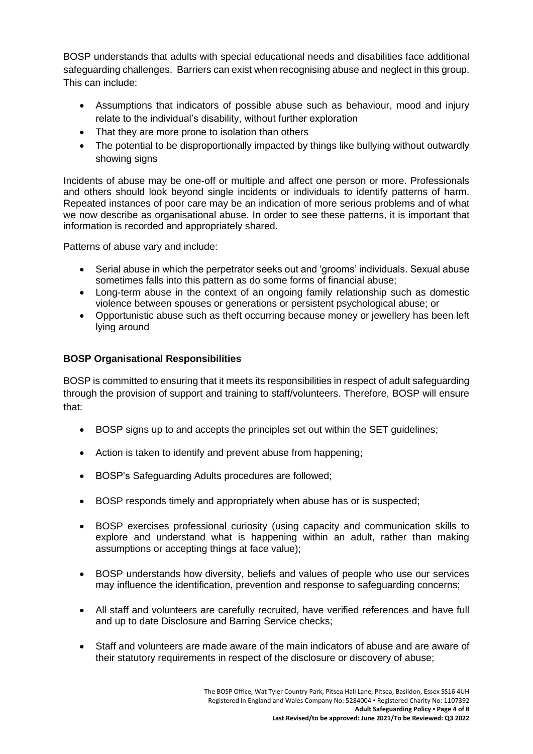BOSP understands that adults with special educational needs and disabilities face additional safeguarding challenges. Barriers can exist when recognising abuse and neglect in this group. This can include:

- Assumptions that indicators of possible abuse such as behaviour, mood and injury relate to the individual's disability, without further exploration
- That they are more prone to isolation than others
- The potential to be disproportionally impacted by things like bullying without outwardly showing signs

Incidents of abuse may be one-off or multiple and affect one person or more. Professionals and others should look beyond single incidents or individuals to identify patterns of harm. Repeated instances of poor care may be an indication of more serious problems and of what we now describe as organisational abuse. In order to see these patterns, it is important that information is recorded and appropriately shared.

Patterns of abuse vary and include:

- Serial abuse in which the perpetrator seeks out and 'grooms' individuals. Sexual abuse sometimes falls into this pattern as do some forms of financial abuse;
- Long-term abuse in the context of an ongoing family relationship such as domestic violence between spouses or generations or persistent psychological abuse; or
- Opportunistic abuse such as theft occurring because money or jewellery has been left lying around

## **BOSP Organisational Responsibilities**

BOSP is committed to ensuring that it meets its responsibilities in respect of adult safeguarding through the provision of support and training to staff/volunteers. Therefore, BOSP will ensure that:

- BOSP signs up to and accepts the principles set out within the SET guidelines;
- Action is taken to identify and prevent abuse from happening;
- BOSP's Safeguarding Adults procedures are followed;
- BOSP responds timely and appropriately when abuse has or is suspected;
- BOSP exercises professional curiosity (using capacity and communication skills to explore and understand what is happening within an adult, rather than making assumptions or accepting things at face value);
- BOSP understands how diversity, beliefs and values of people who use our services may influence the identification, prevention and response to safeguarding concerns;
- All staff and volunteers are carefully recruited, have verified references and have full and up to date Disclosure and Barring Service checks;
- Staff and volunteers are made aware of the main indicators of abuse and are aware of their statutory requirements in respect of the disclosure or discovery of abuse;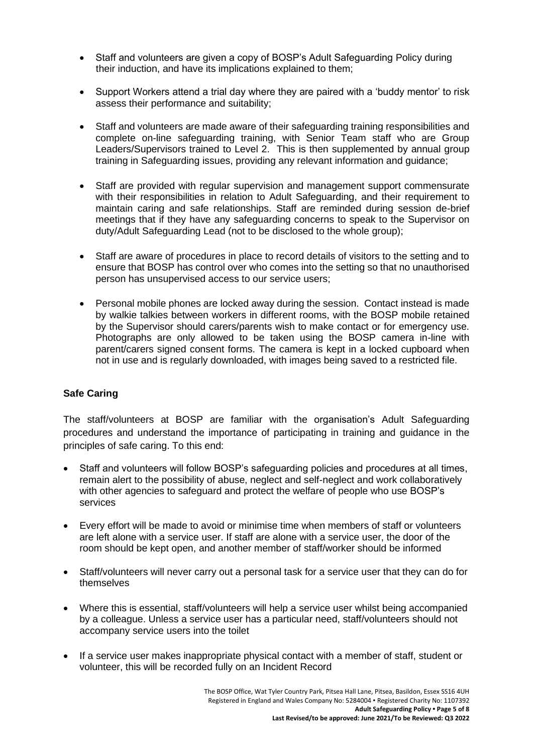- Staff and volunteers are given a copy of BOSP's Adult Safeguarding Policy during their induction, and have its implications explained to them;
- Support Workers attend a trial day where they are paired with a 'buddy mentor' to risk assess their performance and suitability;
- Staff and volunteers are made aware of their safeguarding training responsibilities and complete on-line safeguarding training, with Senior Team staff who are Group Leaders/Supervisors trained to Level 2. This is then supplemented by annual group training in Safeguarding issues, providing any relevant information and guidance;
- Staff are provided with regular supervision and management support commensurate with their responsibilities in relation to Adult Safeguarding, and their requirement to maintain caring and safe relationships. Staff are reminded during session de-brief meetings that if they have any safeguarding concerns to speak to the Supervisor on duty/Adult Safeguarding Lead (not to be disclosed to the whole group);
- Staff are aware of procedures in place to record details of visitors to the setting and to ensure that BOSP has control over who comes into the setting so that no unauthorised person has unsupervised access to our service users;
- Personal mobile phones are locked away during the session. Contact instead is made by walkie talkies between workers in different rooms, with the BOSP mobile retained by the Supervisor should carers/parents wish to make contact or for emergency use. Photographs are only allowed to be taken using the BOSP camera in-line with parent/carers signed consent forms. The camera is kept in a locked cupboard when not in use and is regularly downloaded, with images being saved to a restricted file.

## **Safe Caring**

The staff/volunteers at BOSP are familiar with the organisation's Adult Safeguarding procedures and understand the importance of participating in training and guidance in the principles of safe caring. To this end:

- Staff and volunteers will follow BOSP's safeguarding policies and procedures at all times, remain alert to the possibility of abuse, neglect and self-neglect and work collaboratively with other agencies to safeguard and protect the welfare of people who use BOSP's services
- Every effort will be made to avoid or minimise time when members of staff or volunteers are left alone with a service user. If staff are alone with a service user, the door of the room should be kept open, and another member of staff/worker should be informed
- Staff/volunteers will never carry out a personal task for a service user that they can do for themselves
- Where this is essential, staff/volunteers will help a service user whilst being accompanied by a colleague. Unless a service user has a particular need, staff/volunteers should not accompany service users into the toilet
- If a service user makes inappropriate physical contact with a member of staff, student or volunteer, this will be recorded fully on an Incident Record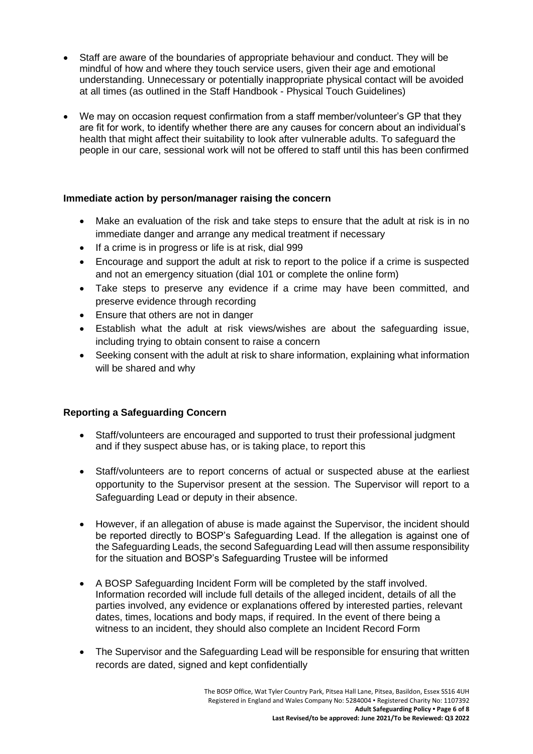- Staff are aware of the boundaries of appropriate behaviour and conduct. They will be mindful of how and where they touch service users, given their age and emotional understanding. Unnecessary or potentially inappropriate physical contact will be avoided at all times (as outlined in the Staff Handbook - Physical Touch Guidelines)
- We may on occasion request confirmation from a staff member/volunteer's GP that they are fit for work, to identify whether there are any causes for concern about an individual's health that might affect their suitability to look after vulnerable adults. To safeguard the people in our care, sessional work will not be offered to staff until this has been confirmed

## **Immediate action by person/manager raising the concern**

- Make an evaluation of the risk and take steps to ensure that the adult at risk is in no immediate danger and arrange any medical treatment if necessary
- If a crime is in progress or life is at risk, dial 999
- Encourage and support the adult at risk to report to the police if a crime is suspected and not an emergency situation (dial 101 or complete the online form)
- Take steps to preserve any evidence if a crime may have been committed, and preserve evidence through recording
- Ensure that others are not in danger
- Establish what the adult at risk views/wishes are about the safeguarding issue, including trying to obtain consent to raise a concern
- Seeking consent with the adult at risk to share information, explaining what information will be shared and why

## **Reporting a Safeguarding Concern**

- Staff/volunteers are encouraged and supported to trust their professional judgment and if they suspect abuse has, or is taking place, to report this
- Staff/volunteers are to report concerns of actual or suspected abuse at the earliest opportunity to the Supervisor present at the session. The Supervisor will report to a Safeguarding Lead or deputy in their absence.
- However, if an allegation of abuse is made against the Supervisor, the incident should be reported directly to BOSP's Safeguarding Lead. If the allegation is against one of the Safeguarding Leads, the second Safeguarding Lead will then assume responsibility for the situation and BOSP's Safeguarding Trustee will be informed
- A BOSP Safeguarding Incident Form will be completed by the staff involved. Information recorded will include full details of the alleged incident, details of all the parties involved, any evidence or explanations offered by interested parties, relevant dates, times, locations and body maps, if required. In the event of there being a witness to an incident, they should also complete an Incident Record Form
- The Supervisor and the Safeguarding Lead will be responsible for ensuring that written records are dated, signed and kept confidentially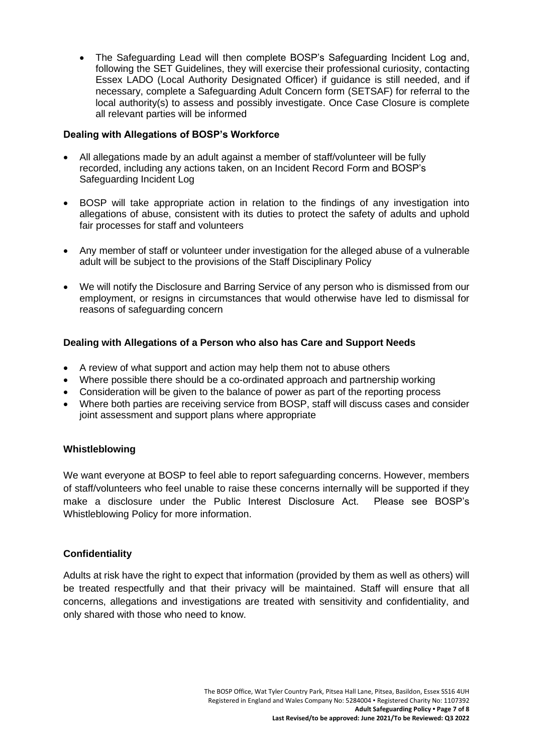• The Safeguarding Lead will then complete BOSP's Safeguarding Incident Log and, following the SET Guidelines, they will exercise their professional curiosity, contacting Essex LADO (Local Authority Designated Officer) if guidance is still needed, and if necessary, complete a Safeguarding Adult Concern form (SETSAF) for referral to the local authority(s) to assess and possibly investigate. Once Case Closure is complete all relevant parties will be informed

## **Dealing with Allegations of BOSP's Workforce**

- All allegations made by an adult against a member of staff/volunteer will be fully recorded, including any actions taken, on an Incident Record Form and BOSP's Safeguarding Incident Log
- BOSP will take appropriate action in relation to the findings of any investigation into allegations of abuse, consistent with its duties to protect the safety of adults and uphold fair processes for staff and volunteers
- Any member of staff or volunteer under investigation for the alleged abuse of a vulnerable adult will be subject to the provisions of the Staff Disciplinary Policy
- We will notify the Disclosure and Barring Service of any person who is dismissed from our employment, or resigns in circumstances that would otherwise have led to dismissal for reasons of safeguarding concern

## **Dealing with Allegations of a Person who also has Care and Support Needs**

- A review of what support and action may help them not to abuse others
- Where possible there should be a co-ordinated approach and partnership working
- Consideration will be given to the balance of power as part of the reporting process
- Where both parties are receiving service from BOSP, staff will discuss cases and consider joint assessment and support plans where appropriate

## **Whistleblowing**

We want everyone at BOSP to feel able to report safeguarding concerns. However, members of staff/volunteers who feel unable to raise these concerns internally will be supported if they make a disclosure under the Public Interest Disclosure Act. Please see BOSP's Whistleblowing Policy for more information.

## **Confidentiality**

Adults at risk have the right to expect that information (provided by them as well as others) will be treated respectfully and that their privacy will be maintained. Staff will ensure that all concerns, allegations and investigations are treated with sensitivity and confidentiality, and only shared with those who need to know.